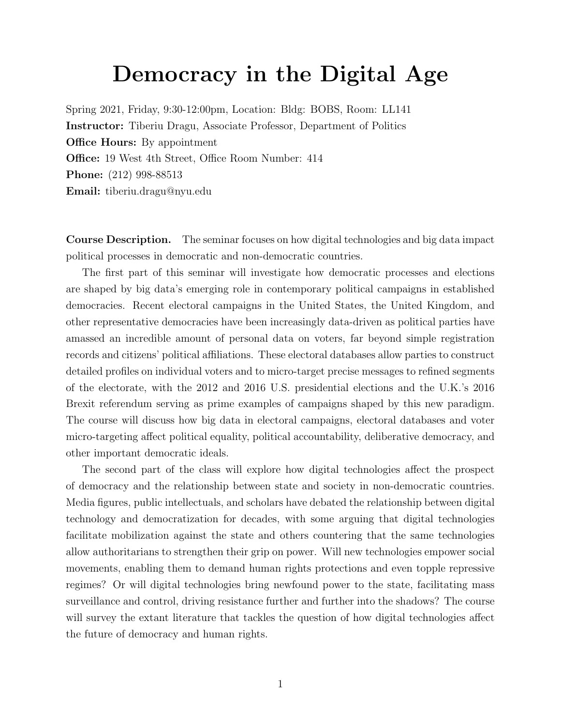# Democracy in the Digital Age

Spring 2021, Friday, 9:30-12:00pm, Location: Bldg: BOBS, Room: LL141 Instructor: Tiberiu Dragu, Associate Professor, Department of Politics **Office Hours:** By appointment Office: 19 West 4th Street, Office Room Number: 414 Phone: (212) 998-88513 Email: tiberiu.dragu@nyu.edu

Course Description. The seminar focuses on how digital technologies and big data impact political processes in democratic and non-democratic countries.

The first part of this seminar will investigate how democratic processes and elections are shaped by big data's emerging role in contemporary political campaigns in established democracies. Recent electoral campaigns in the United States, the United Kingdom, and other representative democracies have been increasingly data-driven as political parties have amassed an incredible amount of personal data on voters, far beyond simple registration records and citizens' political affiliations. These electoral databases allow parties to construct detailed profiles on individual voters and to micro-target precise messages to refined segments of the electorate, with the 2012 and 2016 U.S. presidential elections and the U.K.'s 2016 Brexit referendum serving as prime examples of campaigns shaped by this new paradigm. The course will discuss how big data in electoral campaigns, electoral databases and voter micro-targeting affect political equality, political accountability, deliberative democracy, and other important democratic ideals.

The second part of the class will explore how digital technologies affect the prospect of democracy and the relationship between state and society in non-democratic countries. Media figures, public intellectuals, and scholars have debated the relationship between digital technology and democratization for decades, with some arguing that digital technologies facilitate mobilization against the state and others countering that the same technologies allow authoritarians to strengthen their grip on power. Will new technologies empower social movements, enabling them to demand human rights protections and even topple repressive regimes? Or will digital technologies bring newfound power to the state, facilitating mass surveillance and control, driving resistance further and further into the shadows? The course will survey the extant literature that tackles the question of how digital technologies affect the future of democracy and human rights.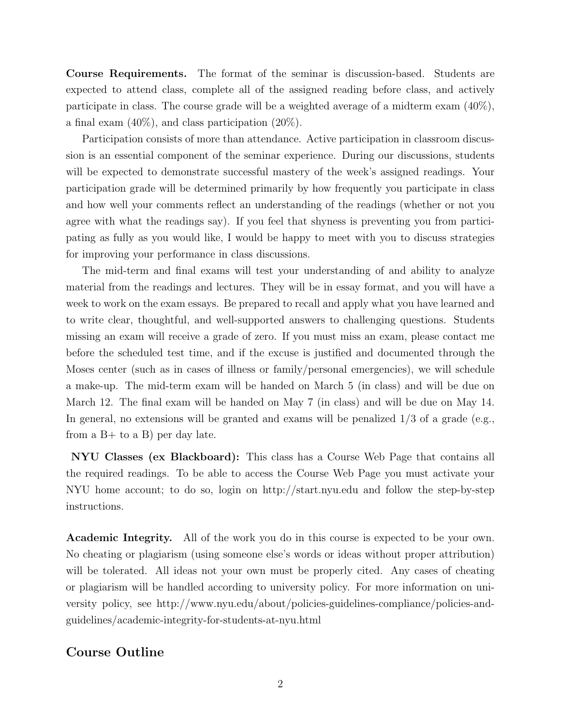Course Requirements. The format of the seminar is discussion-based. Students are expected to attend class, complete all of the assigned reading before class, and actively participate in class. The course grade will be a weighted average of a midterm exam (40%), a final exam (40%), and class participation (20%).

Participation consists of more than attendance. Active participation in classroom discussion is an essential component of the seminar experience. During our discussions, students will be expected to demonstrate successful mastery of the week's assigned readings. Your participation grade will be determined primarily by how frequently you participate in class and how well your comments reflect an understanding of the readings (whether or not you agree with what the readings say). If you feel that shyness is preventing you from participating as fully as you would like, I would be happy to meet with you to discuss strategies for improving your performance in class discussions.

The mid-term and final exams will test your understanding of and ability to analyze material from the readings and lectures. They will be in essay format, and you will have a week to work on the exam essays. Be prepared to recall and apply what you have learned and to write clear, thoughtful, and well-supported answers to challenging questions. Students missing an exam will receive a grade of zero. If you must miss an exam, please contact me before the scheduled test time, and if the excuse is justified and documented through the Moses center (such as in cases of illness or family/personal emergencies), we will schedule a make-up. The mid-term exam will be handed on March 5 (in class) and will be due on March 12. The final exam will be handed on May 7 (in class) and will be due on May 14. In general, no extensions will be granted and exams will be penalized  $1/3$  of a grade (e.g., from a  $B+$  to a B) per day late.

NYU Classes (ex Blackboard): This class has a Course Web Page that contains all the required readings. To be able to access the Course Web Page you must activate your NYU home account; to do so, login on http://start.nyu.edu and follow the step-by-step instructions.

Academic Integrity. All of the work you do in this course is expected to be your own. No cheating or plagiarism (using someone else's words or ideas without proper attribution) will be tolerated. All ideas not your own must be properly cited. Any cases of cheating or plagiarism will be handled according to university policy. For more information on university policy, see http://www.nyu.edu/about/policies-guidelines-compliance/policies-andguidelines/academic-integrity-for-students-at-nyu.html

#### Course Outline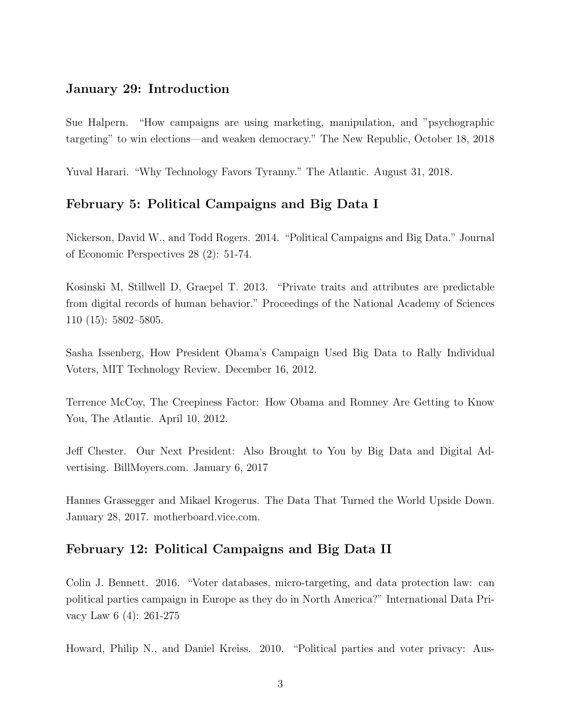## January 29: Introduction

Sue Halpern. "How campaigns are using marketing, manipulation, and "psychographic targeting" to win elections—and weaken democracy." The New Republic, October 18, 2018

Yuval Harari. "Why Technology Favors Tyranny." The Atlantic. August 31, 2018.

#### February 5: Political Campaigns and Big Data I

Nickerson, David W., and Todd Rogers. 2014. "Political Campaigns and Big Data." Journal of Economic Perspectives 28 (2): 51-74.

Kosinski M, Stillwell D, Graepel T. 2013. "Private traits and attributes are predictable from digital records of human behavior." Proceedings of the National Academy of Sciences 110 (15): 5802–5805.

Sasha Issenberg, How President Obama's Campaign Used Big Data to Rally Individual Voters, MIT Technology Review. December 16, 2012.

Terrence McCoy, The Creepiness Factor: How Obama and Romney Are Getting to Know You, The Atlantic. April 10, 2012.

Jeff Chester. Our Next President: Also Brought to You by Big Data and Digital Advertising. BillMoyers.com. January 6, 2017

Hannes Grassegger and Mikael Krogerus. The Data That Turned the World Upside Down. January 28, 2017. motherboard.vice.com.

#### February 12: Political Campaigns and Big Data II

Colin J. Bennett. 2016. "Voter databases, micro-targeting, and data protection law: can political parties campaign in Europe as they do in North America?" International Data Privacy Law 6 (4): 261-275

Howard, Philip N., and Daniel Kreiss. 2010. "Political parties and voter privacy: Aus-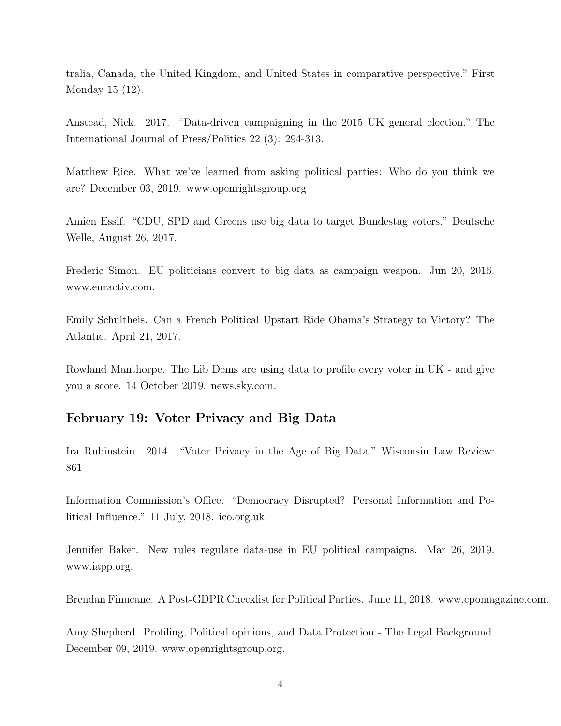tralia, Canada, the United Kingdom, and United States in comparative perspective." First Monday 15 (12).

Anstead, Nick. 2017. "Data-driven campaigning in the 2015 UK general election." The International Journal of Press/Politics 22 (3): 294-313.

Matthew Rice. What we've learned from asking political parties: Who do you think we are? December 03, 2019. www.openrightsgroup.org

Amien Essif. "CDU, SPD and Greens use big data to target Bundestag voters." Deutsche Welle, August 26, 2017.

Frederic Simon. EU politicians convert to big data as campaign weapon. Jun 20, 2016. www.euractiv.com.

Emily Schultheis. Can a French Political Upstart Ride Obama's Strategy to Victory? The Atlantic. April 21, 2017.

Rowland Manthorpe. The Lib Dems are using data to profile every voter in UK - and give you a score. 14 October 2019. news.sky.com.

#### February 19: Voter Privacy and Big Data

Ira Rubinstein. 2014. "Voter Privacy in the Age of Big Data." Wisconsin Law Review: 861

Information Commission's Office. "Democracy Disrupted? Personal Information and Political Influence." 11 July, 2018. ico.org.uk.

Jennifer Baker. New rules regulate data-use in EU political campaigns. Mar 26, 2019. www.iapp.org.

Brendan Finucane. A Post-GDPR Checklist for Political Parties. June 11, 2018. www.cpomagazine.com.

Amy Shepherd. Profiling, Political opinions, and Data Protection - The Legal Background. December 09, 2019. www.openrightsgroup.org.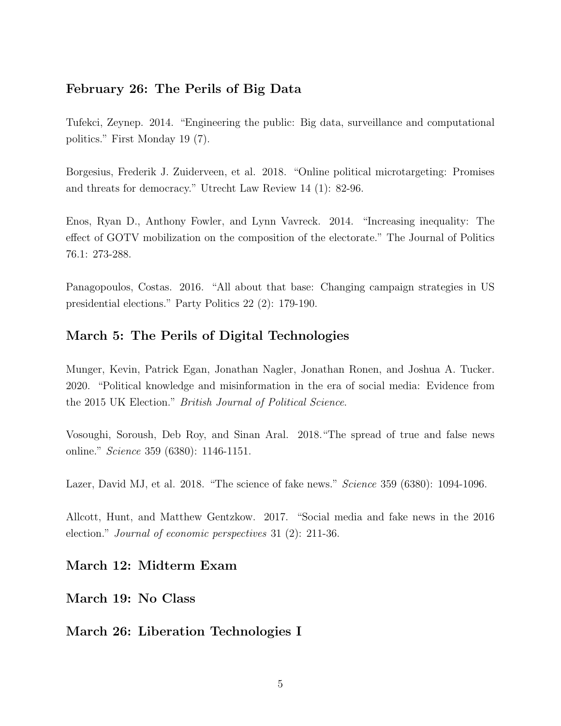## February 26: The Perils of Big Data

Tufekci, Zeynep. 2014. "Engineering the public: Big data, surveillance and computational politics." First Monday 19 (7).

Borgesius, Frederik J. Zuiderveen, et al. 2018. "Online political microtargeting: Promises and threats for democracy." Utrecht Law Review 14 (1): 82-96.

Enos, Ryan D., Anthony Fowler, and Lynn Vavreck. 2014. "Increasing inequality: The effect of GOTV mobilization on the composition of the electorate." The Journal of Politics 76.1: 273-288.

Panagopoulos, Costas. 2016. "All about that base: Changing campaign strategies in US presidential elections." Party Politics 22 (2): 179-190.

# March 5: The Perils of Digital Technologies

Munger, Kevin, Patrick Egan, Jonathan Nagler, Jonathan Ronen, and Joshua A. Tucker. 2020. "Political knowledge and misinformation in the era of social media: Evidence from the 2015 UK Election." British Journal of Political Science.

Vosoughi, Soroush, Deb Roy, and Sinan Aral. 2018."The spread of true and false news online." Science 359 (6380): 1146-1151.

Lazer, David MJ, et al. 2018. "The science of fake news." *Science* 359 (6380): 1094-1096.

Allcott, Hunt, and Matthew Gentzkow. 2017. "Social media and fake news in the 2016 election." Journal of economic perspectives 31 (2): 211-36.

# March 12: Midterm Exam

March 19: No Class

March 26: Liberation Technologies I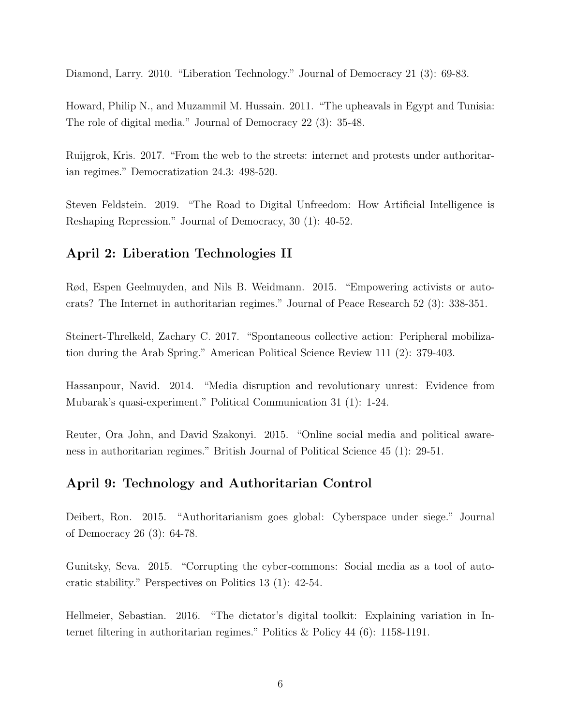Diamond, Larry. 2010. "Liberation Technology." Journal of Democracy 21 (3): 69-83.

Howard, Philip N., and Muzammil M. Hussain. 2011. "The upheavals in Egypt and Tunisia: The role of digital media." Journal of Democracy 22 (3): 35-48.

Ruijgrok, Kris. 2017. "From the web to the streets: internet and protests under authoritarian regimes." Democratization 24.3: 498-520.

Steven Feldstein. 2019. "The Road to Digital Unfreedom: How Artificial Intelligence is Reshaping Repression." Journal of Democracy, 30 (1): 40-52.

# April 2: Liberation Technologies II

Rød, Espen Geelmuyden, and Nils B. Weidmann. 2015. "Empowering activists or autocrats? The Internet in authoritarian regimes." Journal of Peace Research 52 (3): 338-351.

Steinert-Threlkeld, Zachary C. 2017. "Spontaneous collective action: Peripheral mobilization during the Arab Spring." American Political Science Review 111 (2): 379-403.

Hassanpour, Navid. 2014. "Media disruption and revolutionary unrest: Evidence from Mubarak's quasi-experiment." Political Communication 31 (1): 1-24.

Reuter, Ora John, and David Szakonyi. 2015. "Online social media and political awareness in authoritarian regimes." British Journal of Political Science 45 (1): 29-51.

## April 9: Technology and Authoritarian Control

Deibert, Ron. 2015. "Authoritarianism goes global: Cyberspace under siege." Journal of Democracy 26 (3): 64-78.

Gunitsky, Seva. 2015. "Corrupting the cyber-commons: Social media as a tool of autocratic stability." Perspectives on Politics 13 (1): 42-54.

Hellmeier, Sebastian. 2016. "The dictator's digital toolkit: Explaining variation in Internet filtering in authoritarian regimes." Politics & Policy 44 (6): 1158-1191.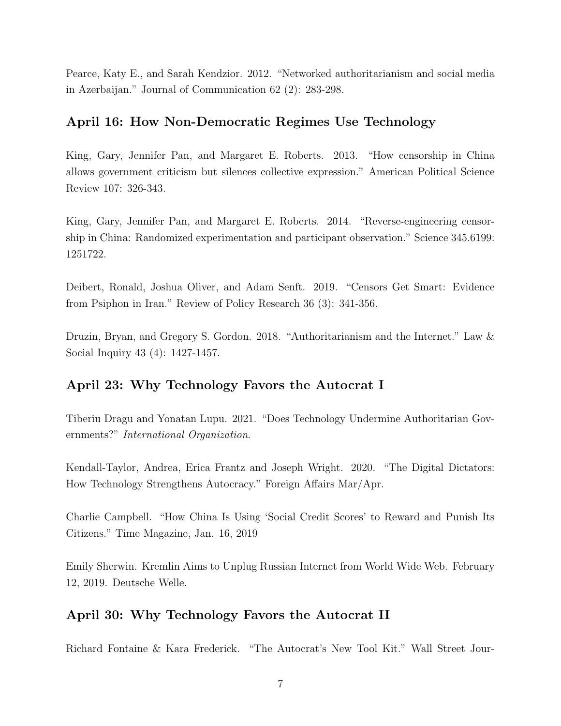Pearce, Katy E., and Sarah Kendzior. 2012. "Networked authoritarianism and social media in Azerbaijan." Journal of Communication 62 (2): 283-298.

## April 16: How Non-Democratic Regimes Use Technology

King, Gary, Jennifer Pan, and Margaret E. Roberts. 2013. "How censorship in China allows government criticism but silences collective expression." American Political Science Review 107: 326-343.

King, Gary, Jennifer Pan, and Margaret E. Roberts. 2014. "Reverse-engineering censorship in China: Randomized experimentation and participant observation." Science 345.6199: 1251722.

Deibert, Ronald, Joshua Oliver, and Adam Senft. 2019. "Censors Get Smart: Evidence from Psiphon in Iran." Review of Policy Research 36 (3): 341-356.

Druzin, Bryan, and Gregory S. Gordon. 2018. "Authoritarianism and the Internet." Law & Social Inquiry 43 (4): 1427-1457.

## April 23: Why Technology Favors the Autocrat I

Tiberiu Dragu and Yonatan Lupu. 2021. "Does Technology Undermine Authoritarian Governments?" International Organization.

Kendall-Taylor, Andrea, Erica Frantz and Joseph Wright. 2020. "The Digital Dictators: How Technology Strengthens Autocracy." Foreign Affairs Mar/Apr.

Charlie Campbell. "How China Is Using 'Social Credit Scores' to Reward and Punish Its Citizens." Time Magazine, Jan. 16, 2019

Emily Sherwin. Kremlin Aims to Unplug Russian Internet from World Wide Web. February 12, 2019. Deutsche Welle.

## April 30: Why Technology Favors the Autocrat II

Richard Fontaine & Kara Frederick. "The Autocrat's New Tool Kit." Wall Street Jour-